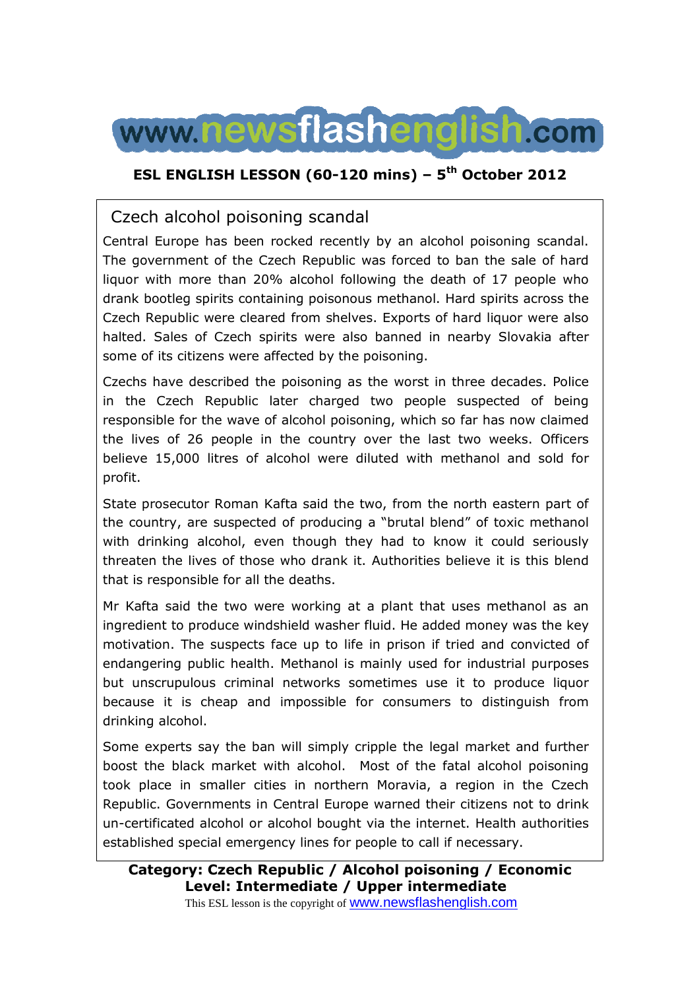

### **ESL ENGLISH LESSON (60-120 mins) – 5th October 2012**

## Czech alcohol poisoning scandal

Central Europe has been rocked recently by an alcohol poisoning scandal. The government of the Czech Republic was forced to ban the sale of hard liquor with more than 20% alcohol following the death of 17 people who drank bootleg spirits containing poisonous methanol. Hard spirits across the Czech Republic were cleared from shelves. Exports of hard liquor were also halted. Sales of Czech spirits were also banned in nearby Slovakia after some of its citizens were affected by the poisoning.

Czechs have described the poisoning as the worst in three decades. Police in the Czech Republic later charged two people suspected of being responsible for the wave of alcohol poisoning, which so far has now claimed the lives of 26 people in the country over the last two weeks. Officers believe 15,000 litres of alcohol were diluted with methanol and sold for profit.

State prosecutor Roman Kafta said the two, from the north eastern part of the country, are suspected of producing a "brutal blend" of toxic methanol with drinking alcohol, even though they had to know it could seriously threaten the lives of those who drank it. Authorities believe it is this blend that is responsible for all the deaths.

Mr Kafta said the two were working at a plant that uses methanol as an ingredient to produce windshield washer fluid. He added money was the key motivation. The suspects face up to life in prison if tried and convicted of endangering public health. Methanol is mainly used for industrial purposes but unscrupulous criminal networks sometimes use it to produce liquor because it is cheap and impossible for consumers to distinguish from drinking alcohol.

Some experts say the ban will simply cripple the legal market and further boost the black market with alcohol. Most of the fatal alcohol poisoning took place in smaller cities in northern Moravia, a region in the Czech Republic. Governments in Central Europe warned their citizens not to drink un-certificated alcohol or alcohol bought via the internet. Health authorities established special emergency lines for people to call if necessary.

## **Category: Czech Republic / Alcohol poisoning / Economic Level: Intermediate / Upper intermediate**

This ESL lesson is the copyright of www.newsflashenglish.com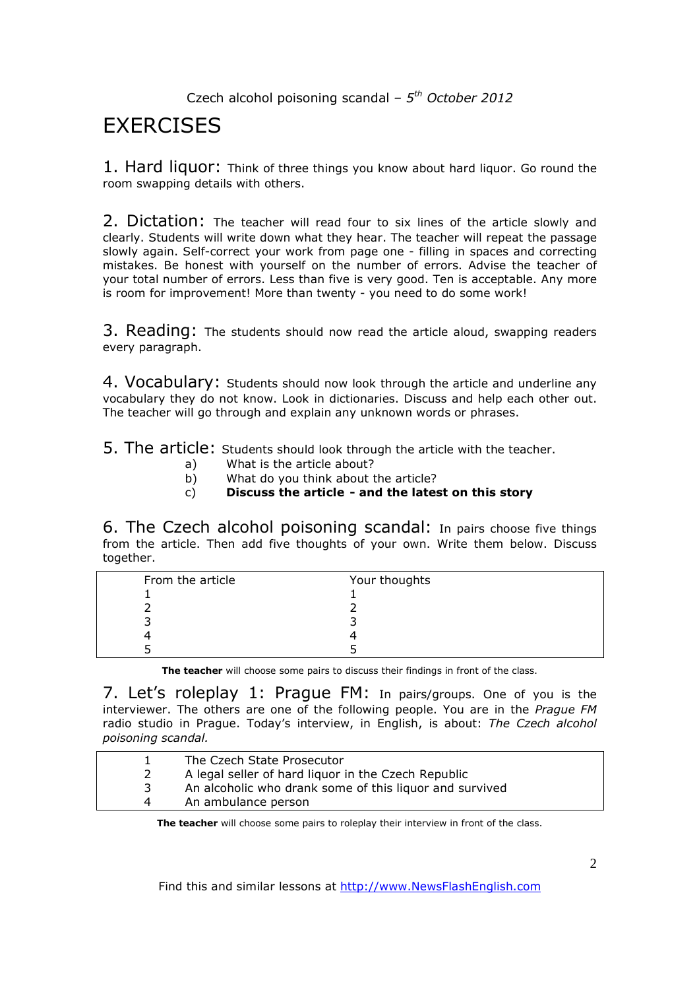# **EXERCISES**

1. Hard liquor: Think of three things you know about hard liquor. Go round the room swapping details with others.

2. Dictation: The teacher will read four to six lines of the article slowly and clearly. Students will write down what they hear. The teacher will repeat the passage slowly again. Self-correct your work from page one - filling in spaces and correcting mistakes. Be honest with yourself on the number of errors. Advise the teacher of your total number of errors. Less than five is very good. Ten is acceptable. Any more is room for improvement! More than twenty - you need to do some work!

3. Reading: The students should now read the article aloud, swapping readers every paragraph.

4. Vocabulary: Students should now look through the article and underline any vocabulary they do not know. Look in dictionaries. Discuss and help each other out. The teacher will go through and explain any unknown words or phrases.

5. The article: Students should look through the article with the teacher.

- a) What is the article about?
- b) What do you think about the article?
- c) **Discuss the article and the latest on this story**

6. The Czech alcohol poisoning scandal: In pairs choose five things from the article. Then add five thoughts of your own. Write them below. Discuss together.

| From the article | Your thoughts |
|------------------|---------------|
|                  |               |
|                  |               |
|                  |               |
|                  |               |
|                  |               |

**The teacher** will choose some pairs to discuss their findings in front of the class.

7. Let's roleplay 1: Prague FM: In pairs/groups. One of you is the interviewer. The others are one of the following people. You are in the *Prague FM*  radio studio in Prague. Today's interview, in English, is about: *The Czech alcohol poisoning scandal.* 

|   | The Czech State Prosecutor                              |
|---|---------------------------------------------------------|
|   | A legal seller of hard liquor in the Czech Republic     |
| 3 | An alcoholic who drank some of this liquor and survived |
| 4 | An ambulance person                                     |

**The teacher** will choose some pairs to roleplay their interview in front of the class.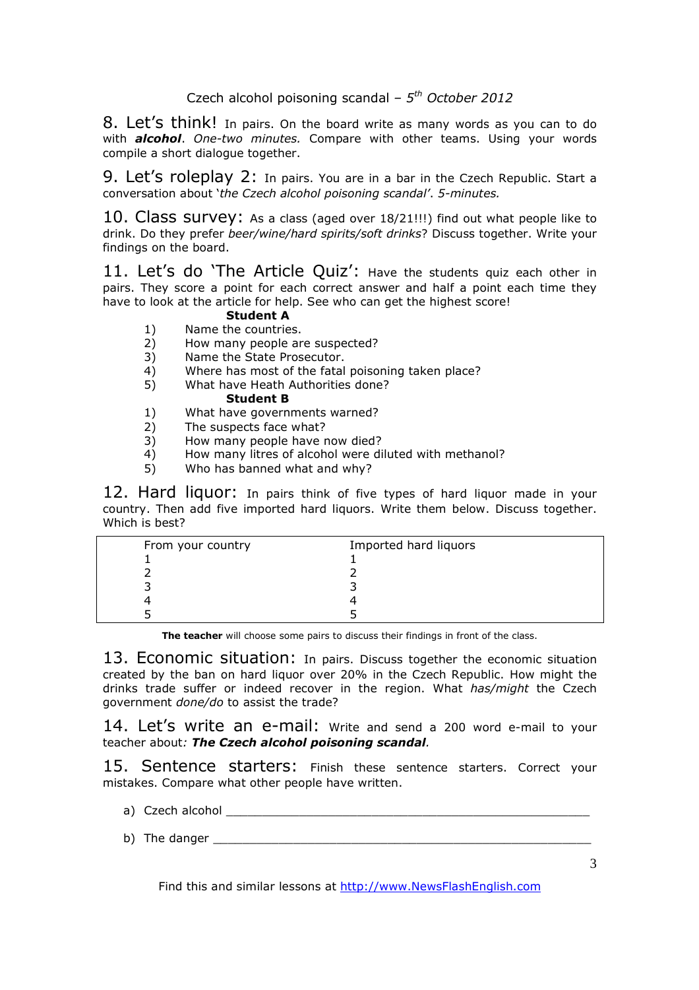8. Let's think! In pairs. On the board write as many words as you can to do with *alcohol*. *One-two minutes.* Compare with other teams. Using your words compile a short dialogue together.

9. Let's roleplay 2: In pairs. You are in a bar in the Czech Republic. Start a conversation about '*the Czech alcohol poisoning scandal'*. *5-minutes.* 

10. Class survey: As a class (aged over 18/21!!!) find out what people like to drink. Do they prefer *beer/wine/hard spirits/soft drinks*? Discuss together. Write your findings on the board.

11. Let's do 'The Article Quiz': Have the students quiz each other in pairs. They score a point for each correct answer and half a point each time they have to look at the article for help. See who can get the highest score!

#### **Student A**

- 1) Name the countries.<br>2) How many people are
- How many people are suspected?
- 3) Name the State Prosecutor.
- 4) Where has most of the fatal poisoning taken place?
- 5) What have Heath Authorities done?

### **Student B**

- 1) What have governments warned?
- 2) The suspects face what?
- 3) How many people have now died?
- 4) How many litres of alcohol were diluted with methanol?
- 5) Who has banned what and why?

12. Hard liquor: In pairs think of five types of hard liquor made in your country. Then add five imported hard liquors. Write them below. Discuss together. Which is best?

| From your country | Imported hard liquors |
|-------------------|-----------------------|
|                   |                       |
|                   |                       |
|                   |                       |
|                   |                       |
|                   |                       |

**The teacher** will choose some pairs to discuss their findings in front of the class.

13. Economic situation: In pairs. Discuss together the economic situation created by the ban on hard liquor over 20% in the Czech Republic. How might the drinks trade suffer or indeed recover in the region. What *has/might* the Czech government *done/do* to assist the trade?

14. Let's write an e-mail: Write and send a 200 word e-mail to your teacher about*: The Czech alcohol poisoning scandal.*

15. Sentence starters: Finish these sentence starters. Correct your mistakes. Compare what other people have written.

- a) Czech alcohol w the control of the control of the control of the control of the control of the control of the control of the control of the control of the control of the control of the control of the control of the cont
- b) The danger \_\_\_\_\_\_\_\_\_\_\_\_\_\_\_\_\_\_\_\_\_\_\_\_\_\_\_\_\_\_\_\_\_\_\_\_\_\_\_\_\_\_\_\_\_\_\_\_\_\_\_\_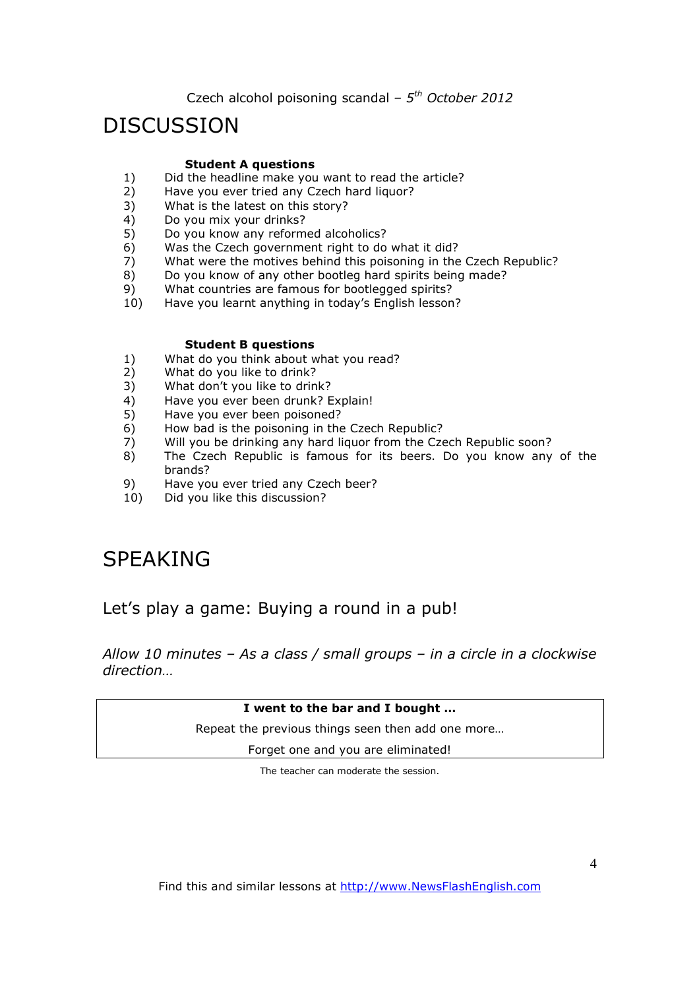## DISCUSSION

#### **Student A questions**

- 1) Did the headline make you want to read the article?<br>2) Have you ever tried any Czech hard liquor?
- 2) Have you ever tried any Czech hard liquor?<br>3) What is the latest on this story?
- What is the latest on this story?
- 4) Do you mix your drinks?
- 5) Do you know any reformed alcoholics?
- 6) Was the Czech government right to do what it did?
- 7) What were the motives behind this poisoning in the Czech Republic?
- 8) Do you know of any other bootleg hard spirits being made?
- 9) What countries are famous for bootlegged spirits?
- 10) Have you learnt anything in today's English lesson?

#### **Student B questions**

- 1) What do you think about what you read?<br>2) What do you like to drink?
- What do you like to drink?
- 3) What don't you like to drink?
- 4) Have you ever been drunk? Explain!
- 5) Have you ever been poisoned?
- $6$ ) How bad is the poisoning in the Czech Republic?
- 7) Will you be drinking any hard liquor from the Czech Republic soon?<br>8) The Czech Republic is famous for its beers. Do you know any
- The Czech Republic is famous for its beers. Do you know any of the brands?
- 9) Have you ever tried any Czech beer?
- 10) Did you like this discussion?

# SPEAKING

Let's play a game: Buying a round in a pub!

*Allow 10 minutes – As a class / small groups – in a circle in a clockwise direction…*

#### **I went to the bar and I bought …**

Repeat the previous things seen then add one more…

Forget one and you are eliminated!

The teacher can moderate the session.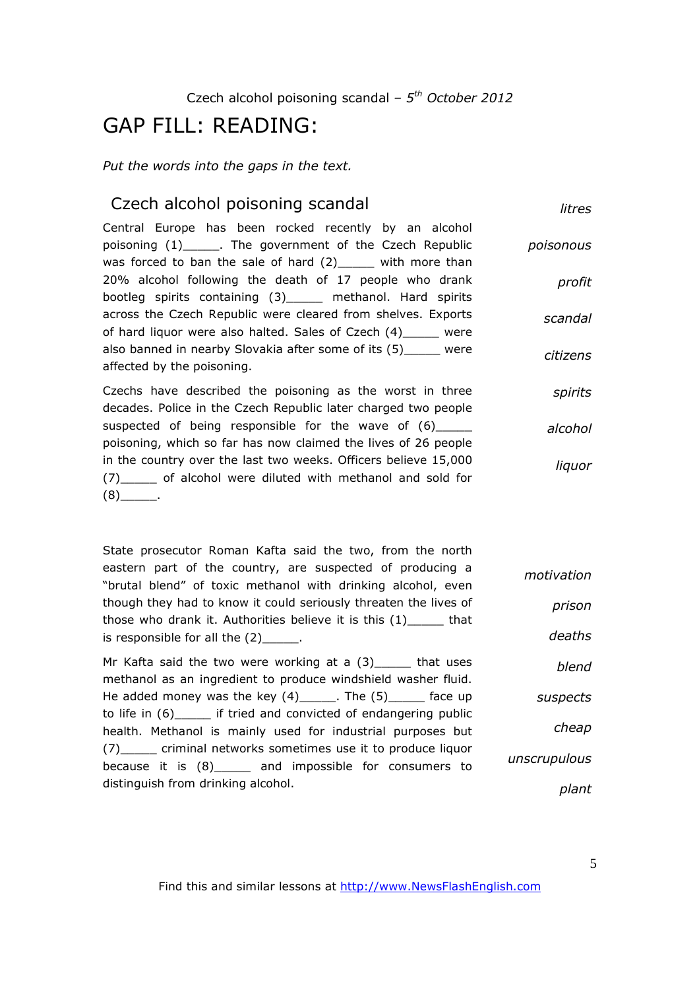# GAP FILL: READING:

*Put the words into the gaps in the text.* 

### Czech alcohol poisoning scandal

*litres*

Central Europe has been rocked recently by an alcohol poisoning (1)\_\_\_\_\_. The government of the Czech Republic was forced to ban the sale of hard (2) with more than 20% alcohol following the death of 17 people who drank bootleg spirits containing (3)\_\_\_\_\_ methanol. Hard spirits across the Czech Republic were cleared from shelves. Exports of hard liquor were also halted. Sales of Czech (4)\_\_\_\_\_ were also banned in nearby Slovakia after some of its (5)\_\_\_\_\_ were affected by the poisoning. *poisonous profit scandal citizens*

Czechs have described the poisoning as the worst in three decades. Police in the Czech Republic later charged two people suspected of being responsible for the wave of (6) poisoning, which so far has now claimed the lives of 26 people in the country over the last two weeks. Officers believe 15,000 (7)\_\_\_\_\_ of alcohol were diluted with methanol and sold for  $(8)$ . *spirits alcohol liquor*

State prosecutor Roman Kafta said the two, from the north eastern part of the country, are suspected of producing a "brutal blend" of toxic methanol with drinking alcohol, even though they had to know it could seriously threaten the lives of those who drank it. Authorities believe it is this (1)\_\_\_\_\_ that is responsible for all the  $(2)$ . Mr Kafta said the two were working at a  $(3)$  that uses *motivation prison deaths blend*

methanol as an ingredient to produce windshield washer fluid. He added money was the key  $(4)$  \_\_\_\_\_. The  $(5)$  \_\_\_\_\_\_ face up to life in (6) if tried and convicted of endangering public health. Methanol is mainly used for industrial purposes but (7) criminal networks sometimes use it to produce liquor because it is (8) and impossible for consumers to distinguish from drinking alcohol. *suspects cheap unscrupulous plant*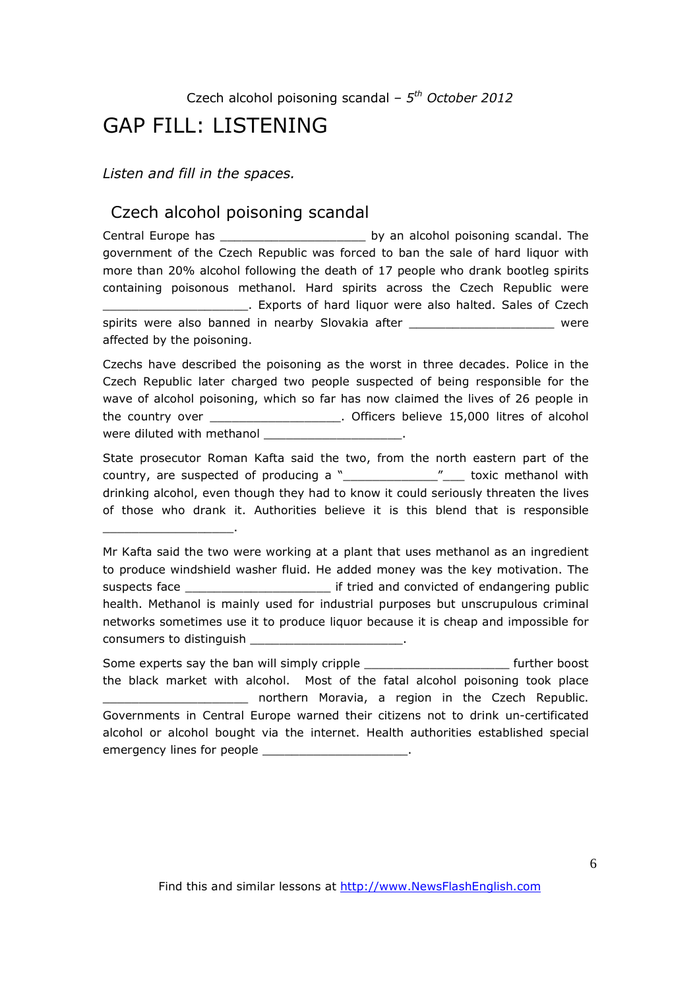# GAP FILL: LISTENING

*Listen and fill in the spaces.* 

\_\_\_\_\_\_\_\_\_\_\_\_\_\_\_\_\_\_.

### Czech alcohol poisoning scandal

Central Europe has \_\_\_\_\_\_\_\_\_\_\_\_\_\_\_\_\_\_\_\_\_\_\_\_\_ by an alcohol poisoning scandal. The government of the Czech Republic was forced to ban the sale of hard liquor with more than 20% alcohol following the death of 17 people who drank bootleg spirits containing poisonous methanol. Hard spirits across the Czech Republic were \_\_\_\_\_\_\_\_\_\_\_\_\_\_\_\_\_\_\_\_. Exports of hard liquor were also halted. Sales of Czech spirits were also banned in nearby Slovakia after \_\_\_\_\_\_\_\_\_\_\_\_\_\_\_\_\_\_\_\_\_\_\_\_ were affected by the poisoning.

Czechs have described the poisoning as the worst in three decades. Police in the Czech Republic later charged two people suspected of being responsible for the wave of alcohol poisoning, which so far has now claimed the lives of 26 people in the country over \_\_\_\_\_\_\_\_\_\_\_\_\_\_\_\_\_\_. Officers believe 15,000 litres of alcohol were diluted with methanol \_\_\_\_

State prosecutor Roman Kafta said the two, from the north eastern part of the country, are suspected of producing a "\_\_\_\_\_\_\_\_\_\_\_\_\_\_\_\_\_"\_\_\_\_ toxic methanol with drinking alcohol, even though they had to know it could seriously threaten the lives of those who drank it. Authorities believe it is this blend that is responsible

Some experts say the ban will simply cripple \_\_\_\_\_\_\_\_\_\_\_\_\_\_\_\_\_\_\_\_ further boost the black market with alcohol. Most of the fatal alcohol poisoning took place \_\_\_\_\_\_\_\_\_\_\_\_\_\_\_\_\_\_\_\_ northern Moravia, a region in the Czech Republic. Governments in Central Europe warned their citizens not to drink un-certificated alcohol or alcohol bought via the internet. Health authorities established special emergency lines for people \_\_\_\_\_\_\_\_\_\_\_\_\_\_\_\_\_\_\_\_.

Mr Kafta said the two were working at a plant that uses methanol as an ingredient to produce windshield washer fluid. He added money was the key motivation. The suspects face **Suspects** face the suspects face health. Methanol is mainly used for industrial purposes but unscrupulous criminal networks sometimes use it to produce liquor because it is cheap and impossible for consumers to distinguish \_\_\_\_\_\_\_\_\_\_\_\_\_\_\_\_\_\_\_\_\_.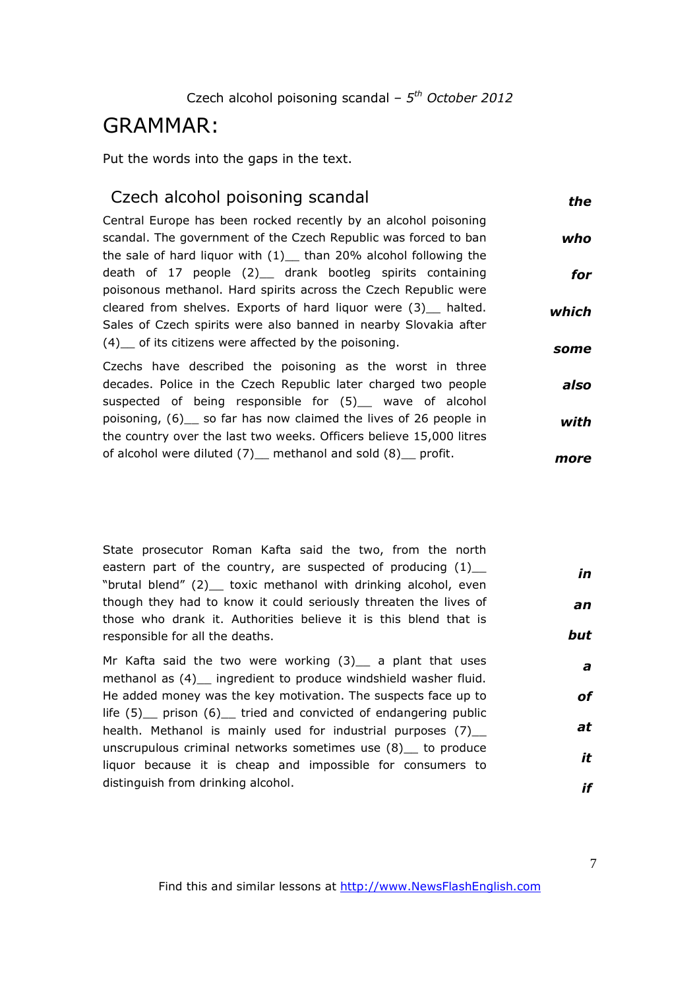## GRAMMAR:

Put the words into the gaps in the text.

### Czech alcohol poisoning scandal

*the*

Central Europe has been rocked recently by an alcohol poisoning scandal. The government of the Czech Republic was forced to ban the sale of hard liquor with  $(1)$  than 20% alcohol following the death of 17 people (2) drank bootleg spirits containing poisonous methanol. Hard spirits across the Czech Republic were cleared from shelves. Exports of hard liquor were (3)\_\_ halted. Sales of Czech spirits were also banned in nearby Slovakia after (4)\_\_ of its citizens were affected by the poisoning. *who for which some*

Czechs have described the poisoning as the worst in three decades. Police in the Czech Republic later charged two people suspected of being responsible for (5) wave of alcohol poisoning, (6)\_\_ so far has now claimed the lives of 26 people in the country over the last two weeks. Officers believe 15,000 litres of alcohol were diluted (7)\_ methanol and sold (8)\_ profit. *also with more*

| State prosecutor Roman Kafta said the two, from the north        |     |
|------------------------------------------------------------------|-----|
| eastern part of the country, are suspected of producing $(1)$ _  | in  |
| "brutal blend" (2) toxic methanol with drinking alcohol, even    |     |
| though they had to know it could seriously threaten the lives of | an  |
| those who drank it. Authorities believe it is this blend that is |     |
| responsible for all the deaths.                                  | but |
|                                                                  |     |

Mr Kafta said the two were working  $(3)$  a plant that uses methanol as (4) \_ ingredient to produce windshield washer fluid. He added money was the key motivation. The suspects face up to life (5)\_\_ prison (6)\_\_ tried and convicted of endangering public health. Methanol is mainly used for industrial purposes (7) unscrupulous criminal networks sometimes use (8) to produce liquor because it is cheap and impossible for consumers to distinguish from drinking alcohol. *a of at it if*